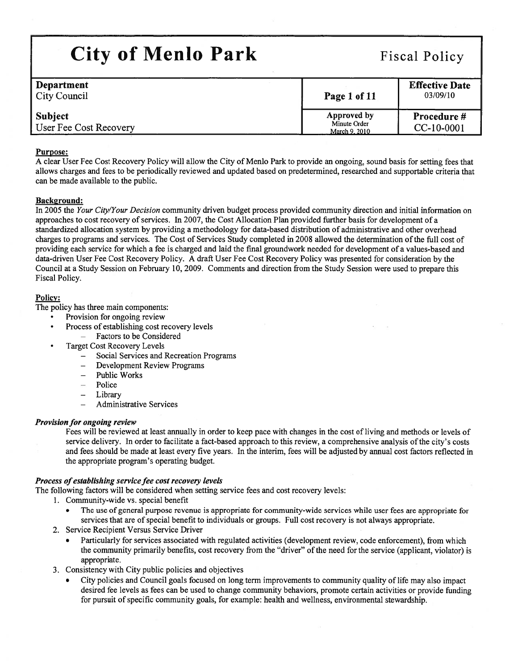| <b>City of Menlo Park</b>                | <b>Fiscal Policy</b>                         |                                   |  |
|------------------------------------------|----------------------------------------------|-----------------------------------|--|
| Department<br><b>City Council</b>        | Page 1 of 11                                 | <b>Effective Date</b><br>03/09/10 |  |
| <b>Subject</b><br>User Fee Cost Recovery | Approved by<br>Minute Order<br>March 9, 2010 | Procedure #<br>CC-10-0001         |  |

## Purpose:

A clear User Fee Cost Recovery Policy will allow the City of Menlo Park to provide an ongoing, sound basis for setting fees that allows charges and fees to be periodically reviewed and updated based on predetermined, researched and supportable criteria that can be made available to the public.

### Background:

In 2005 the Your City/Your Decision community driven budget process provided community direction and initial information on approaches to cost recovery of services. In 2007, the Cost Allocation Plan provided further basis for development of <sup>a</sup> standardized allocation system by providing <sup>a</sup> methodology for data-based distribution of administrative and other overhead charges to programs and services. The Cost of Services Study completed in 2008 allowed the determination of the full cost of providing each service for which <sup>a</sup> fee is charged and laid the final groundwork needed for development of <sup>a</sup> values-based and data-driven User Fee Cost Recovery Policy. A draft User Fee Cost Recovery Policy was presented for consideration by the Council at <sup>a</sup> Study Session on February 10, 2009. Comments and direction from the Study Session were used to prepare this Fiscal Policy.

### Policy:

•

The policy has three main components:

- •Provision for ongoing review
- Process of establishing cost recovery levels
	- Factors to be Considered
- Target Cost Recovery Levels
	- Social Services and Recreation Programs
	- Development Review Programs
	- Public Works
	- Police
	- Library
	- Administrative Services

## Provision for ongoing review

Fees will be reyiewed at least annually in order to keep pace with changes in the cost of living and methods or levels of service delivery. In order to facilitate <sup>a</sup> fact-based approach to this review, <sup>a</sup> comprehensive analysis ofthe city's costs and fees should be made at least every five years. In the interim, fees will be adjusted by annual cost factors reflected in the appropriate program's operating budget.

## Process of establishing service fee cost recovery levels

The following factors will be considered when setting service fees and cost recovery levels:

- 1. Community-wide vs. special benefit
	- The use of general purpose revenue is appropriate for community-wide services while user fees are appropriate for services that are of special benefit to individuals or groups. Full cost recovery is not always appropriate.
- 2. Service Recipient Versus Service Driver
	- • Particularly for services associated with regulated activities (development review, code enforcement), from which the community primarily benefits, cost recovery from the "driver" of the need for the service (applicant, violator) is appropriate.
- 3. Consistency with City public policies and objectives
	- • City policies and Council goals focused on long term improvements to community quality of life may also impact desired fee levels as fees can be used to change community behaviors, promote certain activities or provide funding for pursuit of specific community goals, for example: health and wellness, environmental stewardship.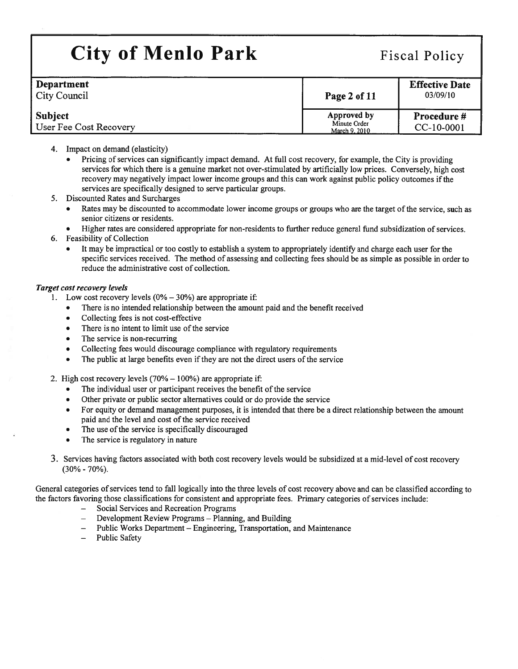| <b>Department</b><br>City Council        | Page 2 of 11                                 | <b>Effective Date</b><br>03/09/10 |
|------------------------------------------|----------------------------------------------|-----------------------------------|
| <b>Subject</b><br>User Fee Cost Recovery | Approved by<br>Minute Order<br>March 9, 2010 | <b>Procedure #</b><br>CC-10-0001  |

- 4. Impact on demand (elasticity)
	- Pricing of services can significantly impact demand. At full cost recovery, for example, the City is providing services for which there is <sup>a</sup> genuine market not over-stimulated by artificially low prices. Conversely, high cost recovery may negatively impact lower income groups and this can work against public policy outcomes ifthe services are specifically designed to serve particular groups.
- 5. Discounted Rates and Surcharges
	- Rates may be discounted to accommodate lower income groups or groups who are the target of the service, such as senior citizens or residents.
	- •Higher rates are considered appropriate for non-residents to further reduce general fund subsidization of services.
- 6. Feasibility of Collection
	- It may be impractical or too costly to establish <sup>a</sup> system to appropriately identify and charge each user for the specific services received. The method of assessing and collecting fees should be as simple as possible in order to reduce the administrative cost of collection.

### Target cost recovery levels

- 1. Low cost recovery levels  $(0\% 30\%)$  are appropriate if:
	- There is no intended relationship between the amount paid and the benefit received
	- •Collecting fees is not cost-effective
	- •There is no intent to limit use of the service
	- •The service is non-recurring
	- •Collecting fees would discourage compliance with regulatory requirements
	- •The public at large benefits even if they are not the direct users of the service
- 2. High cost recovery levels (70% 100%) are appropriate if:
	- •The individual user or participant receives the benefit of the service
	- •Other private or public sector alternatives could or do provide the service
	- • For equity or demand managemen<sup>t</sup> purposes, it is intended that there be <sup>a</sup> direct relationship between the amount paid and the level and cost of the service received
	- •The use of the service is specifically discouraged
	- •The service is regulatory in nature
- 3. Services having factors associated with both cost recovery levels would be subsidized at <sup>a</sup> mid-level of cost recovery (30% - 70%).

General categories of services tend to fall logically into the three levels of cost recovery above and can be classified according to the factors favoring those classifications for consistent and appropriate fees. Primary categories of services include:

- Social Services and Recreation Programs
- Development Review Programs Planning, and Building
- Public Works Department Engineering, Transportation, and Maintenance
- Public Safety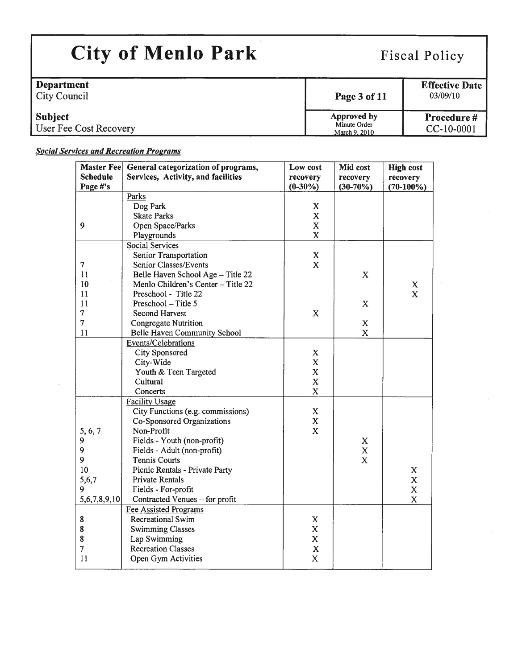| Department<br>City Council               | Page 3 of 11                                 | <b>Effective Date</b><br>03/09/10 |
|------------------------------------------|----------------------------------------------|-----------------------------------|
| <b>Subject</b><br>User Fee Cost Recovery | Approved by<br>Minute Order<br>March 9, 2010 | <b>Procedure #</b><br>CC-10-0001  |

## **Social Services and Recreation Programs**

| <b>Master Fee</b> | General categorization of programs, | Low cost                | Mid cost    | <b>High cost</b> |
|-------------------|-------------------------------------|-------------------------|-------------|------------------|
| <b>Schedule</b>   | Services, Activity, and facilities  | recovery                | recovery    | recovery         |
| Page #'s          |                                     | $(0-30\%)$              | $(30-70%)$  | $(70-100\%)$     |
|                   | Parks                               |                         |             |                  |
|                   | Dog Park                            | X                       |             |                  |
|                   | <b>Skate Parks</b>                  | $\mathbf X$             |             |                  |
| 9                 | Open Space/Parks                    | $\mathbf X$             |             |                  |
|                   | Playgrounds                         | $\mathbf X$             |             |                  |
|                   | <b>Social Services</b>              |                         |             |                  |
|                   | Senior Transportation               | X                       |             |                  |
| $\tau$            | Senior Classes/Events               | $\mathbf x$             |             |                  |
| 11                | Belle Haven School Age - Title 22   |                         | X           |                  |
| 10                | Menlo Children's Center - Title 22  |                         |             | $\mathbf X$      |
| 11                | Preschool - Title 22                |                         |             | $\mathbf x$      |
| 11                | Preschool - Title 5                 |                         | X           |                  |
| $\overline{7}$    | <b>Second Harvest</b>               | $\mathbf x$             |             |                  |
| $\overline{7}$    | Congregate Nutrition                |                         | $\mathbf X$ |                  |
| 11                | Belle Haven Community School        |                         | $\mathbf X$ |                  |
|                   | Events/Celebrations                 |                         |             |                  |
|                   | <b>City Sponsored</b>               | X                       |             |                  |
|                   | City-Wide                           | $\mathbf X$             |             |                  |
|                   | Youth & Teen Targeted               | $\mathbf X$             |             |                  |
|                   | Cultural                            | $\mathbf X$             |             |                  |
|                   | Concerts                            | $\mathbf X$             |             |                  |
|                   | <b>Facility Usage</b>               |                         |             |                  |
|                   | City Functions (e.g. commissions)   | $\mathbf X$             |             |                  |
|                   | Co-Sponsored Organizations          | $\mathbf X$             |             |                  |
| 5, 6, 7           | Non-Profit                          | $\overline{\mathbf{X}}$ |             |                  |
| 9                 | Fields - Youth (non-profit)         |                         | X           |                  |
| 9                 | Fields - Adult (non-profit)         |                         | $\mathbf X$ |                  |
| 9                 | <b>Tennis Courts</b>                |                         | $\mathbf x$ |                  |
| 10                | Picnic Rentals - Private Party      |                         |             | $\mathbf X$      |
| 5,6,7             | <b>Private Rentals</b>              |                         |             | $\mathbf X$      |
| 9                 | Fields - For-profit                 |                         |             | $\mathbf X$      |
| 5,6,7,8,9,10      | Contracted Venues - for profit      |                         |             | $\mathbf X$      |
|                   | <b>Fee Assisted Programs</b>        |                         |             |                  |
| 8                 | <b>Recreational Swim</b>            | $\mathbf X$             |             |                  |
| 8                 | <b>Swimming Classes</b>             | $\mathbf X$             |             |                  |
| 8                 | Lap Swimming                        | $\mathbf X$             |             |                  |
| 7                 | <b>Recreation Classes</b>           | $\mathbf X$             |             |                  |
| 11                | Open Gym Activities                 | $\mathbf X$             |             |                  |
|                   |                                     |                         |             |                  |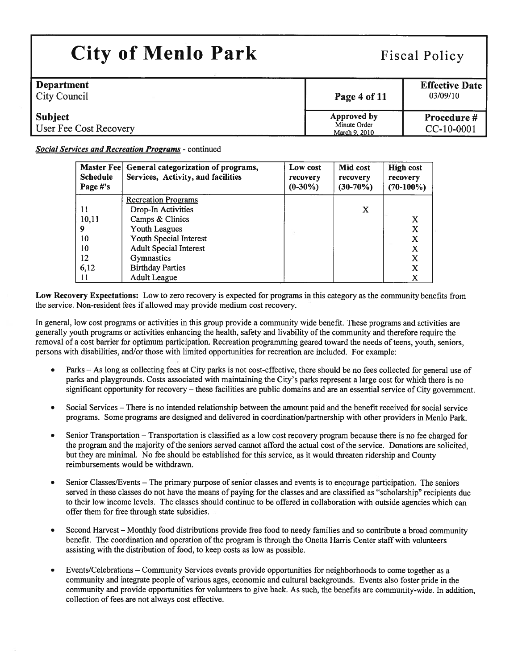| <b>Department</b><br>City Council        | Page 4 of 11                                 | <b>Effective Date</b><br>03/09/10 |
|------------------------------------------|----------------------------------------------|-----------------------------------|
| <b>Subject</b><br>User Fee Cost Recovery | Approved by<br>Minute Order<br>March 9, 2010 | <b>Procedure #</b><br>CC-10-0001  |

## Social Services and Recreation Programs - continued

| <b>Master Feel</b><br><b>Schedule</b><br>Page #'s | General categorization of programs,<br>Services, Activity, and facilities | Low cost<br>recovery<br>$(0-30\%)$ | Mid cost<br>recovery<br>$(30-70%)$ | <b>High cost</b><br>recovery<br>$(70-100\%)$ |
|---------------------------------------------------|---------------------------------------------------------------------------|------------------------------------|------------------------------------|----------------------------------------------|
|                                                   | <b>Recreation Programs</b>                                                |                                    |                                    |                                              |
| 11                                                | Drop-In Activities                                                        |                                    | X                                  |                                              |
| 10,11                                             | Camps & Clinics                                                           |                                    |                                    | X                                            |
| 9                                                 | Youth Leagues                                                             |                                    |                                    | X                                            |
| 10                                                | Youth Special Interest                                                    |                                    |                                    | X                                            |
| 10                                                | <b>Adult Special Interest</b>                                             |                                    |                                    | x                                            |
| 12                                                | <b>Gymnastics</b>                                                         |                                    |                                    | X                                            |
| 6,12                                              | <b>Birthday Parties</b>                                                   |                                    |                                    | X                                            |
| 11                                                | <b>Adult League</b>                                                       |                                    |                                    | X                                            |

Low Recovery Expectations: Low to zero recovery is expected for programs in this category as the community benefits from the service. Non-resident fees if allowed may provide medium cost recovery.

In general, low cost programs or activities in this group provide <sup>a</sup> community wide benefit. These programs and activities are generally youth programs or activities enhancing the health, safety and livability ofthe community and therefore require the removal of <sup>a</sup> cost barrier for optimum participation. Recreation programming geared toward the needs ofteens, youth, seniors, persons with disabilities, and/or those with limited opportunities for recreation are included. For example:

- • Parks — As long as collecting fees at City parks is not cost-effective, there should be no fees collected for genera<sup>l</sup> use of parks and playgrounds. Costs associated with maintaining the City's parks represen<sup>t</sup> <sup>a</sup> large cost for which there is no significant opportunity for recovery — these facilities are public domains and are an essential service of City government.
- • Social Services — There is no intended relationship between the amount paid and the benefit received for social service programs. Some programs are designed and delivered in coordination/partnership with other providers in Menlo Park.
- • Senior Transportation — Transportation is classified as <sup>a</sup> low cost recovery program because there is no fee charged for the program and the majority of the seniors served cannot afford the actual cost of the service. Donations are solicited, but they are minimal. No fee should be established for this service, as it would threaten ridership and County reimbursements would be withdrawn.
- Senior Classes/Events The primary purpose of senior classes and events is to encourage participation. The seniors served in these classes do not have the means of paying for the classes and are classified as "scholarship" recipients due to their low income levels. The classes should continue to be offered in collaboration with outside agencies which can offer them for free through state subsidies.
- • Second Harvest — Monthly food distributions provide free food to needy families and so contribute <sup>a</sup> broad community benefit. The coordination and operation of the program is through the Onetta Harris Center staff with volunteers assisting with the distribution of food, to keep costs as low as possible.
- • Events/Celebrations — Community Services events provide opportunities for neighborhoods to come together as <sup>a</sup> community and integrate people of various ages, economic and cultural backgrounds. Events also foster pride in the community and provide opportunities for volunteers to give back. As such, the benefits are community-wide. In addition, collection of fees are not always cost effective.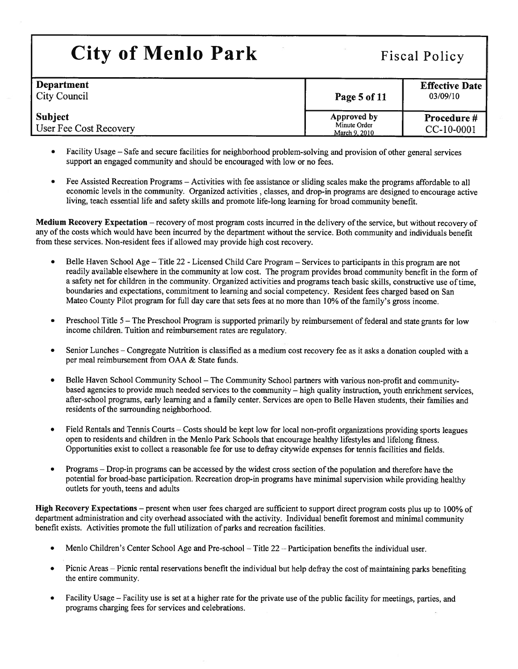| <b>City of Menlo Park</b>                |                                              | <b>Fiscal Policy</b>              |  |  |
|------------------------------------------|----------------------------------------------|-----------------------------------|--|--|
| Department<br><b>City Council</b>        | Page 5 of 11                                 | <b>Effective Date</b><br>03/09/10 |  |  |
| <b>Subject</b><br>User Fee Cost Recovery | Approved by<br>Minute Order<br>March 9, 2010 | Procedure #<br>CC-10-0001         |  |  |

- Facility Usage Safe and secure facilities for neighborhood problem-solving and provision of other genera<sup>l</sup> services suppor<sup>t</sup> an engaged community and should be encouraged with low or no fees.
- Fee Assisted Recreation Programs Activities with fee assistance or sliding scales make the programs affordable to all economic levels in the community. Organized activities , classes, and drop-in programs are designed to encourage active living, teach essential life and safety skills and promote life-long learning for broad community benefit.

Medium Recovery Expectation – recovery of most program costs incurred in the delivery of the service, but without recovery of any of the costs which would have been incurred by the department without the service. Both community and individuals benefit from these services. Non-resident fees if allowed may provide high cost recovery.

- • Belle Haven School Age — Title <sup>22</sup> -Licensed Child Care Program — Services to participants in this program are not readily available elsewhere in the community at low cost. The program provides broad community benefit in the form of <sup>a</sup> safety net for children in the community. Organized activities and programs teach basic skills, constructive use oftime, boundaries and expectations, commitment to learning and social competency. Resident fees charged based on San Mateo County Pilot program for full day care that sets fees at no more than 10% ofthe family's gross income.
- • Preschool Title <sup>5</sup> — The Preschool Program is supported primarily by reimbursement of federal and state grants for low income children. Tuition and reimbursement rates are regulatory.
- Senior Lunches Congregate Nutrition is classified as <sup>a</sup> medium cost recovery fee as it asks <sup>a</sup> donation coupled with <sup>a</sup> per meal reimbursement from OAA & State funds.
- • Belle Haven School Community School — The Community School partners with various non-profit and communitybased agencies to provide much needed services to the community — high quality instruction, youth enrichment services, after-school programs, early learning and <sup>a</sup> family center. Services are open to Belle Haven students, their families and residents of the surrounding neighborhood.
- • Field Rentals and Tennis Courts — Costs should be kept low for local non-profit organizations providing sports leagues open to residents and children in the Menlo Park Schools that encourage healthy lifestyles and lifelong fitness. Opportunities exist to collect <sup>a</sup> reasonable fee for use to defray citywide expenses for tennis facilities and fields.
- • Programs — Drop-in programs can be accessed by the widest cross section of the population and therefore have the potential for broad-base participation. Recreation drop-in programs have minimal supervision while providing healthy outlets for youth, teens and adults

High Recovery Expectations — presen<sup>t</sup> when user fees charged are sufficient to suppor<sup>t</sup> direct program costs <sup>p</sup>lus up to 100% of department administration and city overhead associated with the activity. Individual benefit foremost and minimal community benefit exists. Activities promote the full utilization of parks and recreation facilities.

- •Menlo Children's Center School Age and Pre-school — Title 22 — Participation benefits the individual user.
- • Picnic Areas — Picnic rental reservations benefit the individual but help defray the cost of maintaining parks benefiting the entire community.
- • Facility Usage — Facility use is set at <sup>a</sup> higher rate for the private use ofthe public facility for meetings, parties, and programs charging fees for services and celebrations.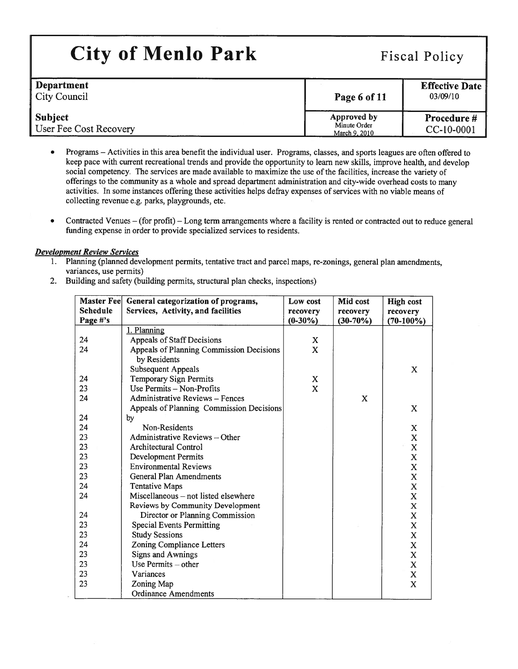| Department<br><b>City Council</b>        | Page 6 of 11                                 | <b>Effective Date</b><br>03/09/10 |
|------------------------------------------|----------------------------------------------|-----------------------------------|
| <b>Subject</b><br>User Fee Cost Recovery | Approved by<br>Minute Order<br>March 9, 2010 | <b>Procedure #</b><br>CC-10-0001  |

- • Programs — Activities in this area benefit the individual user. Programs, classes, and sports leagues are often offered to keep pace with current recreational trends and provide the opportunity to learn new skills, improve health, and develop social competency. The services are made available to maximize the use ofthe facilities, increase the variety of offerings to the community as <sup>a</sup> whole and sprea<sup>d</sup> department administration and city-wide overhead costs to many activities. In some instances offering these activities helps defray expenses ofservices with no viable means of collecting revenue e.g. parks, playgrounds, etc.
- • Contracted Venues — (for profit) — Long term arrangements where <sup>a</sup> facility is rented or contracted out to reduce genera<sup>l</sup> funding expense in order to provide specialized services to residents.

### Development Review Services

- 1. Planning (planned development permits, tentative tract and parcel maps, re-zonings, general <sup>p</sup>lan amendments, variances, use permits)
- 2. Building and safety (building permits, structural plan checks, inspections)

| Master Fee      | General categorization of programs,      | Low cost   | Mid cost   | <b>High cost</b> |
|-----------------|------------------------------------------|------------|------------|------------------|
| <b>Schedule</b> | Services, Activity, and facilities       | recovery   | recovery   | recovery         |
| Page #'s        |                                          | $(0-30\%)$ | $(30-70%)$ | $(70-100\%)$     |
|                 | 1. Planning                              |            |            |                  |
| 24              | Appeals of Staff Decisions               | X          |            |                  |
| 24              | Appeals of Planning Commission Decisions | X          |            |                  |
|                 | by Residents                             |            |            |                  |
|                 | <b>Subsequent Appeals</b>                |            |            | X                |
| 24              | Temporary Sign Permits                   | X          |            |                  |
| 23              | Use Permits - Non-Profits                | X          |            |                  |
| 24              | Administrative Reviews - Fences          |            | X          |                  |
|                 | Appeals of Planning Commission Decisions |            |            | X                |
| 24              | by                                       |            |            |                  |
| 24              | Non-Residents                            |            |            | $\mathbf X$      |
| 23              | Administrative Reviews - Other           |            |            | X                |
| 23              | Architectural Control                    |            |            | $\mathbf X$      |
| 23              | <b>Development Permits</b>               |            |            | $\mathbf X$      |
| 23              | <b>Environmental Reviews</b>             |            |            | $\mathbf X$      |
| 23              | General Plan Amendments                  |            |            | $\mathbf X$      |
| 24              | <b>Tentative Maps</b>                    |            |            | $\mathbf X$      |
| 24              | Miscellaneous – not listed elsewhere     |            |            | $\mathbf X$      |
|                 | Reviews by Community Development         |            |            | $\mathbf X$      |
| 24              | Director or Planning Commission          |            |            | $\mathbf X$      |
| 23              | <b>Special Events Permitting</b>         |            |            | $\mathbf X$      |
| 23              | <b>Study Sessions</b>                    |            |            | $\mathbf X$      |
| 24              | Zoning Compliance Letters                |            |            | $\mathbf X$      |
| 23              | <b>Signs and Awnings</b>                 |            |            | $\mathbf X$      |
| 23              | Use Permits - other                      |            |            | $\mathbf X$      |
| 23              | Variances                                |            |            | $\mathbf X$      |
| 23              | Zoning Map                               |            |            | X                |
|                 | <b>Ordinance Amendments</b>              |            |            |                  |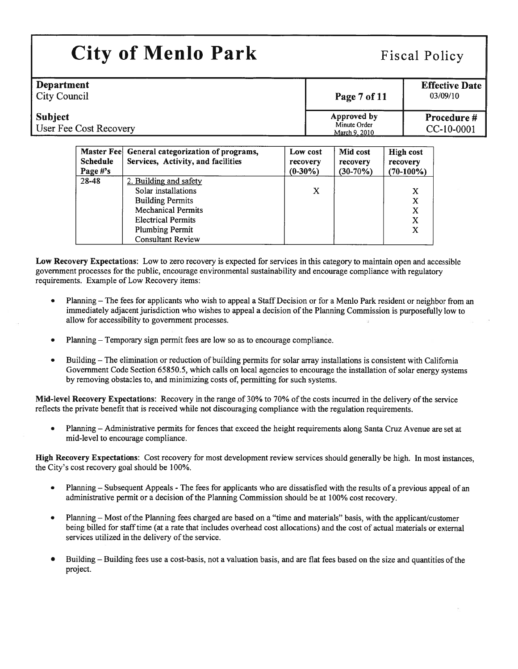| <b>Department</b><br><b>City Council</b> | Page 7 of 11                                 | <b>Effective Date</b><br>03/09/10 |
|------------------------------------------|----------------------------------------------|-----------------------------------|
| <b>Subject</b><br>User Fee Cost Recovery | Approved by<br>Minute Order<br>March 9, 2010 | Procedure #<br>CC-10-0001         |

| <b>Master Fee</b><br><b>Schedule</b><br>Page #'s | General categorization of programs,<br>Services, Activity, and facilities | Low cost<br>recovery<br>$(0-30\%)$ | Mid cost<br>recovery<br>$(30-70%)$ | <b>High cost</b><br>recovery<br>$(70-100\%)$ |
|--------------------------------------------------|---------------------------------------------------------------------------|------------------------------------|------------------------------------|----------------------------------------------|
| 28-48                                            | 2. Building and safety                                                    |                                    |                                    |                                              |
|                                                  | Solar installations                                                       | X                                  |                                    | X                                            |
|                                                  | <b>Building Permits</b>                                                   |                                    |                                    | $\mathbf{X}$                                 |
|                                                  | <b>Mechanical Permits</b>                                                 |                                    |                                    | X                                            |
|                                                  | <b>Electrical Permits</b>                                                 |                                    |                                    | X                                            |
|                                                  | <b>Plumbing Permit</b>                                                    |                                    |                                    | X                                            |
|                                                  | <b>Consultant Review</b>                                                  |                                    |                                    |                                              |

Low Recovery Expectations: Low to zero recovery is expected for services in this category to maintain open and accessible governmen<sup>t</sup> processes for the public, encourage environmental sustainability and encourage compliance with regulatory requirements. Example of Low Recovery items:

- Planning The fees for applicants who wish to appea<sup>l</sup> <sup>a</sup> Staff Decision or for <sup>a</sup> Menlo Park resident or neighbor from an immediately adjacent jurisdiction who wishes to appeal <sup>a</sup> decision ofthe Planning Commission is purposefully low to allow for accessibility to governmen<sup>t</sup> processes.
- •Planning — Temporary sign permit fees are low so as to encourage compliance.
- Building— The elimination or reduction of building permits for solar array installations is consistent with California Government Code Section 65850.5, which calls on local agencies to encourage the installation ofsolar energy systems by removing obstacles to, and minimizing costs of, permitting for such systems.

Mid-level Recovery Expectations: Recovery in the range of 30% to 70% of the costs incurred in the delivery of the service reflects the private benefit that is received while not discouraging compliance with the regulation requirements.

• Planning — Administrative permits for fences that exceed the height requirements along Santa Cruz Avenue are set at mid-level to encourage compliance.

High Recovery Expectations: Cost recovery for most development review services should generally be high. In most instances, the City's cost recovery goal should be 100%.

- •Planning – Subsequent Appeals - The fees for applicants who are dissatisfied with the results of a previous appeal of an administrative permit or a decision of the Planning Commission should be at 100% cost recovery.
- • Planning — Most ofthe Planning fees charged are based on <sup>a</sup> "time and materials" basis, with the applicant/customer being billed for stafftime (at <sup>a</sup> rate that includes overhead cost allocations) and the cost of actual materials or external services utilized in the delivery of the service.
- • Building — Building fees use <sup>a</sup> cost-basis, not <sup>a</sup> valuation basis, and are flat fees based on the size and quantities of the project.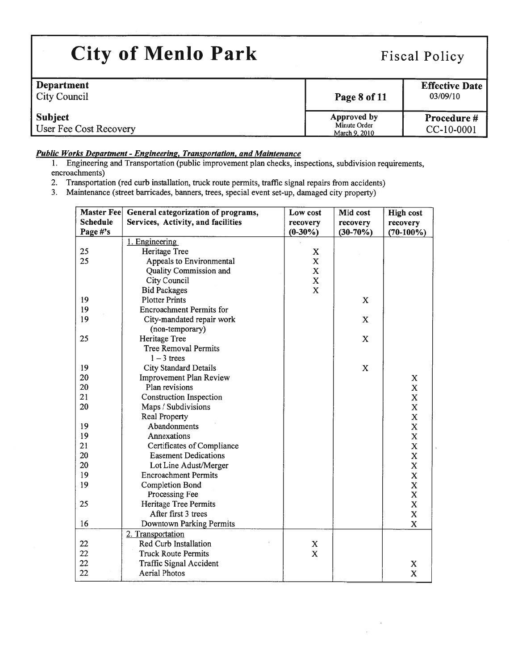| <b>City of Menlo Park</b>                |                                              | <b>Fiscal Policy</b>              |  |  |
|------------------------------------------|----------------------------------------------|-----------------------------------|--|--|
| Department<br><b>City Council</b>        | Page 8 of 11                                 | <b>Effective Date</b><br>03/09/10 |  |  |
| <b>Subject</b><br>User Fee Cost Recovery | Approved by<br>Minute Order<br>March 9, 2010 | Procedure #<br>CC-10-0001         |  |  |

## Public Works Department -Engineering, Transportation, and Maintenance

1. Engineering and Transportation (public improvement <sup>p</sup>lan checks, inspections, subdivision requirements, encroachments)

- 2. Transportation (red curb installation, truck route pennits, traffic signal repairs from accidents)
- 3. Maintenance (street barricades, banners, trees, special event set-up, damaged city property)

| Master Fee      | General categorization of programs, | Low cost    | Mid cost    | <b>High cost</b>        |
|-----------------|-------------------------------------|-------------|-------------|-------------------------|
| <b>Schedule</b> | Services, Activity, and facilities  | recovery    | recovery    | recovery                |
| Page #'s        |                                     | $(0-30\%)$  | $(30-70%)$  | $(70-100\%)$            |
|                 | 1. Engineering                      |             |             |                         |
| 25              | <b>Heritage Tree</b>                | $\mathbf X$ |             |                         |
| 25              | Appeals to Environmental            | $\mathbf X$ |             |                         |
|                 | Quality Commission and              | $\mathbf X$ |             |                         |
|                 | City Council                        | $\mathbf X$ |             |                         |
|                 | <b>Bid Packages</b>                 | $\mathbf x$ |             |                         |
| 19              | <b>Plotter Prints</b>               |             | X           |                         |
| 19              | <b>Encroachment Permits for</b>     |             |             |                         |
| 19              | City-mandated repair work           |             | $\mathbf X$ |                         |
|                 | (non-temporary)                     |             |             |                         |
| 25              | Heritage Tree                       |             | X           |                         |
|                 | <b>Tree Removal Permits</b>         |             |             |                         |
|                 | $1 - 3$ trees                       |             |             |                         |
| 19              | <b>City Standard Details</b>        |             | X           |                         |
| 20              | <b>Improvement Plan Review</b>      |             |             | X                       |
| 20              | Plan revisions                      |             |             | $\mathbf X$             |
| 21              | <b>Construction Inspection</b>      |             |             | $\mathbf X$             |
| 20              | Maps / Subdivisions                 |             |             | $\mathbf X$             |
|                 | <b>Real Property</b>                |             |             | $\bf{X}$                |
| 19              | Abandonments                        |             |             | $\overline{\text{X}}$   |
| 19              | Annexations                         |             |             | $\overline{\text{X}}$   |
| 21              | Certificates of Compliance          |             |             | $\overline{\mathbf{X}}$ |
| 20              | <b>Easement Dedications</b>         |             |             | X                       |
| 20              | Lot Line Adust/Merger               |             |             | X                       |
| 19              | <b>Encroachment Permits</b>         |             |             | $\mathbf x$             |
| 19              | <b>Completion Bond</b>              |             |             | $\mathbf X$             |
|                 | Processing Fee                      |             |             | $\mathbf X$             |
| 25              | Heritage Tree Permits               |             |             | $\mathbf X$             |
|                 | After first 3 trees                 |             |             | $\mathbf X$             |
| 16              | Downtown Parking Permits            |             |             | $\mathbf X$             |
|                 | 2. Transportation                   |             |             |                         |
| 22              | Red Curb Installation               | X           |             |                         |
| 22              | <b>Truck Route Permits</b>          | $\mathbf X$ |             |                         |
| 22              | <b>Traffic Signal Accident</b>      |             |             | X                       |
| 22              | <b>Aerial Photos</b>                |             |             | $\mathbf X$             |

 $\overline{\mathcal{A}}$  $\alpha$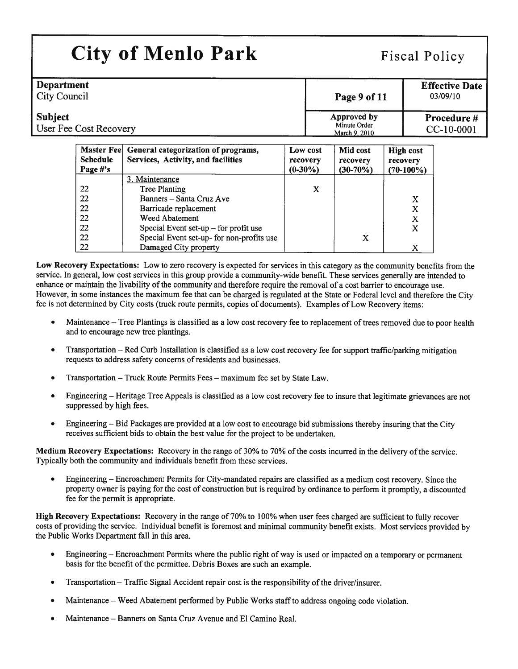| <b>City of Menlo Park</b>                      |                                              | <b>Fiscal Policy</b>              |  |  |  |
|------------------------------------------------|----------------------------------------------|-----------------------------------|--|--|--|
| <b>Department</b><br><b>City Council</b>       | Page 9 of 11                                 | <b>Effective Date</b><br>03/09/10 |  |  |  |
| Subject<br>User Fee Cost Recovery              | Approved by<br>Minute Order<br>March 9, 2010 | Procedure #<br>CC-10-0001         |  |  |  |
| Master Feel Ceneral categorization of programs | Mid cost<br>Low cost                         | High cost                         |  |  |  |

| <b>Master Feel</b><br><b>Schedule</b> | General categorization of programs,<br>Services, Activity, and facilities | Low cost<br>recovery | Mid cost<br>recovery | <b>High cost</b><br>recovery |
|---------------------------------------|---------------------------------------------------------------------------|----------------------|----------------------|------------------------------|
| Page #'s                              |                                                                           | $(0-30\%)$           | $(30-70%)$           | $(70-100\%)$                 |
|                                       | 3. Maintenance                                                            |                      |                      |                              |
| 22                                    | <b>Tree Planting</b>                                                      | X                    |                      |                              |
| 22                                    | Banners - Santa Cruz Ave                                                  |                      |                      | X                            |
| 22                                    | Barricade replacement                                                     |                      |                      | X                            |
| 22                                    | Weed Abatement                                                            |                      |                      | X                            |
| 22                                    | Special Event set-up $-$ for profit use                                   |                      |                      | X                            |
| 22                                    | Special Event set-up- for non-profits use                                 |                      | X                    |                              |
| 22                                    | Damaged City property                                                     |                      |                      | X                            |

Low Recovery Expectations: Low to zero recovery is expected for services in this category as the community benefits from the service. In general, low cost services in this group provide <sup>a</sup> community-wide benefit. These services generally are intended to enhance or maintain the livability of the community and therefore require the removal of a cost barrier to encourage use. However, in some instances the maximum fee that can be charged is regulated at the State or Federal level and therefore the City fee is not determined by City costs (truck route permits, copies of documents). Examples of Low Recovery items:

- •Maintenance - Tree Plantings is classified as a low cost recovery fee to replacement of trees removed due to poor health and to encourage new tree plantings.
- • Transportation — Red Curb Installation is classified as <sup>a</sup> low cost recovery fee for suppor<sup>t</sup> traffic/parking mitigation requests to address safety concerns of residents and businesses.
- •Transportation — Truck Route Permits Fees — maximum fee set by State Law.
- • Engineering — Heritage Tree Appeals is classified as <sup>a</sup> low cost recovery fee to insure that legitimate grievances are not suppressed by high fees.
- • Engineering — Bid Packages are provided at <sup>a</sup> low cost to encourage bid submissions thereby insuring that the City receives sufficient bids to obtain the best value for the project to be undertaken.

Medium Recovery Expectations: Recovery in the range of 30% to 70% of the costs incurred in the delivery of the service. Typically both the community and individuals benefit from these services.

• Engineering — Encroachment Permits for City-mandated repairs are classified as <sup>a</sup> medium cost recovery. Since the property owner is paying for the cost of construction but is required by ordinance to perform it promptly, <sup>a</sup> discounted fee for the permit is appropriate.

High Recovery Expectations: Recovery in the range of 70% to 100% when user fees charged are sufficient to fully recover costs of providing the service. Individual benefit is foremost and minimal community benefit exists. Most services provided by the Public Works Department fall in this area.

- • Engineering — Encroachment Permits where the public right of way is used or impacted on <sup>a</sup> temporary or permanen<sup>t</sup> basis for the benefit of the permittee. Debris Boxes are such an example.
- •Transportation — Traffic Signal Accident repair cost is the responsibility ofthe driver/insurer.
- •Maintenance — Weed Abatement performed by Public Works staffto address ongoing code violation.
- •Maintenance — Banners on Santa Cruz Avenue and El Camino Real.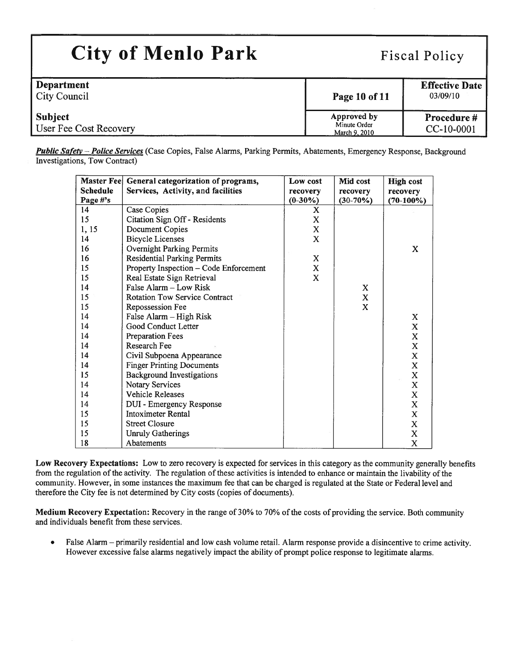| <b>City of Menlo Park</b>                | <b>Fiscal Policy</b>                         |                                   |  |
|------------------------------------------|----------------------------------------------|-----------------------------------|--|
| <b>Department</b><br><b>City Council</b> | Page 10 of 11                                | <b>Effective Date</b><br>03/09/10 |  |
| <b>Subject</b><br>User Fee Cost Recovery | Approved by<br>Minute Order<br>March 9, 2010 | Procedure #<br>CC-10-0001         |  |

Public Safety - Police Services (Case Copies, False Alarms, Parking Permits, Abatements, Emergency Response, Background Investigations, Tow Contract)

|                 | Master Fee General categorization of programs, | Low cost     | Mid cost    | <b>High cost</b> |
|-----------------|------------------------------------------------|--------------|-------------|------------------|
| <b>Schedule</b> | Services, Activity, and facilities             | recovery     | recovery    | recovery         |
| Page #'s        |                                                | $(0-30\%)$   | $(30-70%)$  | $(70-100\%)$     |
| 14              | Case Copies                                    | X            |             |                  |
| 15              | Citation Sign Off - Residents                  | X            |             |                  |
| 1, 15           | Document Copies                                | $\mathbf X$  |             |                  |
| 14              | <b>Bicycle Licenses</b>                        | X            |             |                  |
| 16              | <b>Overnight Parking Permits</b>               |              |             | X                |
| 16              | <b>Residential Parking Permits</b>             | X            |             |                  |
| 15              | Property Inspection - Code Enforcement         | $\mathbf{X}$ |             |                  |
| 15              | Real Estate Sign Retrieval                     | X            |             |                  |
| 14              | False Alarm - Low Risk                         |              | X           |                  |
| 15              | <b>Rotation Tow Service Contract</b>           |              | $\mathbf X$ |                  |
| 15              | Repossession Fee                               |              | X           |                  |
| 14              | False Alarm - High Risk                        |              |             | X                |
| 14              | Good Conduct Letter                            |              |             | $\mathbf X$      |
| 14              | <b>Preparation Fees</b>                        |              |             | $\mathbf X$      |
| 14              | Research Fee                                   |              |             | $\mathbf X$      |
| 14              | Civil Subpoena Appearance                      |              |             | X                |
| 14              | <b>Finger Printing Documents</b>               |              |             | $\mathbf X$      |
| 15              | <b>Background Investigations</b>               |              |             | X                |
| 14              | <b>Notary Services</b>                         |              |             | $\mathbf X$      |
| 14              | <b>Vehicle Releases</b>                        |              |             | $\mathbf X$      |
| 14              | DUI - Emergency Response                       |              |             | X                |
| 15              | <b>Intoximeter Rental</b>                      |              |             | $\mathbf X$      |
| 15              | <b>Street Closure</b>                          |              |             | $\mathbf X$      |
| 15              | <b>Unruly Gatherings</b>                       |              |             | $\mathbf X$      |
| 18              | Abatements                                     |              |             | X                |

Low Recovery Expectations: Low to zero recovery is expected for services in this category as the community generally benefits from the regulation of the activity. The regulation of these activities is intended to enhance or maintain the livability of the community. However, in some instances the maximum fee that can be charged is regulated at the State or Federal level and therefore the City fee is not determined by City costs (copies of documents).

Medium Recovery Expectation: Recovery in the range of 30% to 70% of the costs of providing the service. Both community and individuals benefit from these services.

. False Alarm — primarily residential and low cash volume retail. Alarm response provide <sup>a</sup> disincentive to crime activity. However excessive false alarms negatively impact the ability of promp<sup>t</sup> police response to legitimate alarms.